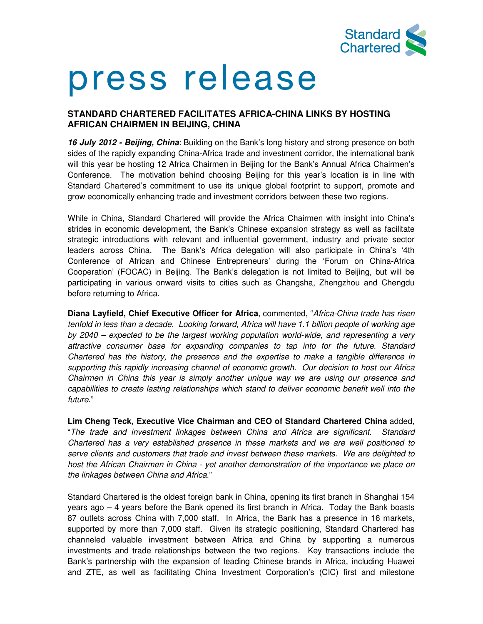

# press release

## **STANDARD CHARTERED FACILITATES AFRICA-CHINA LINKS BY HOSTING AFRICAN CHAIRMEN IN BEIJING, CHINA**

**16 July 2012 - Beijing, China**: Building on the Bank's long history and strong presence on both sides of the rapidly expanding China-Africa trade and investment corridor, the international bank will this year be hosting 12 Africa Chairmen in Beijing for the Bank's Annual Africa Chairmen's Conference. The motivation behind choosing Beijing for this year's location is in line with Standard Chartered's commitment to use its unique global footprint to support, promote and grow economically enhancing trade and investment corridors between these two regions.

While in China, Standard Chartered will provide the Africa Chairmen with insight into China's strides in economic development, the Bank's Chinese expansion strategy as well as facilitate strategic introductions with relevant and influential government, industry and private sector leaders across China. The Bank's Africa delegation will also participate in China's '4th Conference of African and Chinese Entrepreneurs' during the 'Forum on China-Africa Cooperation' (FOCAC) in Beijing. The Bank's delegation is not limited to Beijing, but will be participating in various onward visits to cities such as Changsha, Zhengzhou and Chengdu before returning to Africa.

**Diana Layfield, Chief Executive Officer for Africa**, commented, "Africa-China trade has risen tenfold in less than a decade. Looking forward, Africa will have 1.1 billion people of working age by 2040 – expected to be the largest working population world-wide, and representing a very attractive consumer base for expanding companies to tap into for the future. Standard Chartered has the history, the presence and the expertise to make a tangible difference in supporting this rapidly increasing channel of economic growth. Our decision to host our Africa Chairmen in China this year is simply another unique way we are using our presence and capabilities to create lasting relationships which stand to deliver economic benefit well into the future."

**Lim Cheng Teck, Executive Vice Chairman and CEO of Standard Chartered China** added, "The trade and investment linkages between China and Africa are significant. Standard Chartered has a very established presence in these markets and we are well positioned to serve clients and customers that trade and invest between these markets. We are delighted to host the African Chairmen in China - yet another demonstration of the importance we place on the linkages between China and Africa."

Standard Chartered is the oldest foreign bank in China, opening its first branch in Shanghai 154 years ago – 4 years before the Bank opened its first branch in Africa. Today the Bank boasts 87 outlets across China with 7,000 staff. In Africa, the Bank has a presence in 16 markets, supported by more than 7,000 staff. Given its strategic positioning, Standard Chartered has channeled valuable investment between Africa and China by supporting a numerous investments and trade relationships between the two regions. Key transactions include the Bank's partnership with the expansion of leading Chinese brands in Africa, including Huawei and ZTE, as well as facilitating China Investment Corporation's (CIC) first and milestone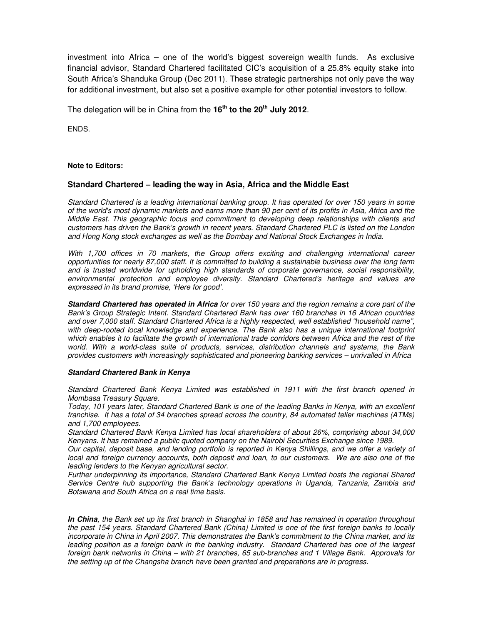investment into Africa – one of the world's biggest sovereign wealth funds. As exclusive financial advisor, Standard Chartered facilitated CIC's acquisition of a 25.8% equity stake into South Africa's Shanduka Group (Dec 2011). These strategic partnerships not only pave the way for additional investment, but also set a positive example for other potential investors to follow.

The delegation will be in China from the **16th to the 20th July 2012**.

ENDS.

#### **Note to Editors:**

### **Standard Chartered – leading the way in Asia, Africa and the Middle East**

Standard Chartered is a leading international banking group. It has operated for over 150 years in some of the world's most dynamic markets and earns more than 90 per cent of its profits in Asia, Africa and the Middle East. This geographic focus and commitment to developing deep relationships with clients and customers has driven the Bank's growth in recent years. Standard Chartered PLC is listed on the London and Hong Kong stock exchanges as well as the Bombay and National Stock Exchanges in India.

With 1,700 offices in 70 markets, the Group offers exciting and challenging international career opportunities for nearly 87,000 staff. It is committed to building a sustainable business over the long term and is trusted worldwide for upholding high standards of corporate governance, social responsibility, environmental protection and employee diversity. Standard Chartered's heritage and values are expressed in its brand promise, 'Here for good'.

**Standard Chartered has operated in Africa** for over 150 years and the region remains a core part of the Bank's Group Strategic Intent. Standard Chartered Bank has over 160 branches in 16 African countries and over 7,000 staff. Standard Chartered Africa is a highly respected, well established "household name", with deep-rooted local knowledge and experience. The Bank also has a unique international footprint which enables it to facilitate the growth of international trade corridors between Africa and the rest of the world. With a world-class suite of products, services, distribution channels and systems, the Bank provides customers with increasingly sophisticated and pioneering banking services – unrivalled in Africa

#### **Standard Chartered Bank in Kenya**

Standard Chartered Bank Kenya Limited was established in 1911 with the first branch opened in Mombasa Treasury Square.

Today, 101 years later, Standard Chartered Bank is one of the leading Banks in Kenya, with an excellent franchise. It has a total of 34 branches spread across the country, 84 automated teller machines (ATMs) and 1,700 employees.

Standard Chartered Bank Kenya Limited has local shareholders of about 26%, comprising about 34,000 Kenyans. It has remained a public quoted company on the Nairobi Securities Exchange since 1989.

Our capital, deposit base, and lending portfolio is reported in Kenya Shillings, and we offer a variety of local and foreign currency accounts, both deposit and loan, to our customers. We are also one of the leading lenders to the Kenyan agricultural sector.

Further underpinning its importance, Standard Chartered Bank Kenya Limited hosts the regional Shared Service Centre hub supporting the Bank's technology operations in Uganda, Tanzania, Zambia and Botswana and South Africa on a real time basis.

**In China**, the Bank set up its first branch in Shanghai in 1858 and has remained in operation throughout the past 154 years. Standard Chartered Bank (China) Limited is one of the first foreign banks to locally incorporate in China in April 2007. This demonstrates the Bank's commitment to the China market, and its leading position as a foreign bank in the banking industry. Standard Chartered has one of the largest foreign bank networks in China – with 21 branches, 65 sub-branches and 1 Village Bank. Approvals for the setting up of the Changsha branch have been granted and preparations are in progress.